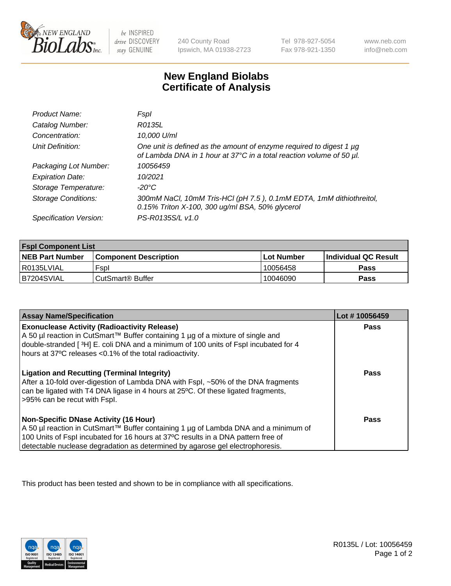

 $be$  INSPIRED drive DISCOVERY stay GENUINE

240 County Road Ipswich, MA 01938-2723 Tel 978-927-5054 Fax 978-921-1350 www.neb.com info@neb.com

## **New England Biolabs Certificate of Analysis**

| Product Name:              | Fspl                                                                                                                                        |
|----------------------------|---------------------------------------------------------------------------------------------------------------------------------------------|
| Catalog Number:            | R0135L                                                                                                                                      |
| Concentration:             | 10,000 U/ml                                                                                                                                 |
| Unit Definition:           | One unit is defined as the amount of enzyme required to digest 1 µg<br>of Lambda DNA in 1 hour at 37°C in a total reaction volume of 50 µl. |
| Packaging Lot Number:      | 10056459                                                                                                                                    |
| <b>Expiration Date:</b>    | 10/2021                                                                                                                                     |
| Storage Temperature:       | -20°C                                                                                                                                       |
| <b>Storage Conditions:</b> | 300mM NaCl, 10mM Tris-HCl (pH 7.5), 0.1mM EDTA, 1mM dithiothreitol,<br>0.15% Triton X-100, 300 ug/ml BSA, 50% glycerol                      |
| Specification Version:     | PS-R0135S/L v1.0                                                                                                                            |

| <b>Fspl Component List</b> |                              |             |                             |  |
|----------------------------|------------------------------|-------------|-----------------------------|--|
| <b>NEB Part Number</b>     | <b>Component Description</b> | ⊺Lot Number | <b>Individual QC Result</b> |  |
| R0135LVIAL                 | Fspl                         | 10056458    | Pass                        |  |
| B7204SVIAL                 | ' CutSmart® Buffer_          | 10046090    | Pass                        |  |

| <b>Assay Name/Specification</b>                                                                                                                                                                                                                                                                           | Lot #10056459 |
|-----------------------------------------------------------------------------------------------------------------------------------------------------------------------------------------------------------------------------------------------------------------------------------------------------------|---------------|
| <b>Exonuclease Activity (Radioactivity Release)</b><br>A 50 µl reaction in CutSmart™ Buffer containing 1 µg of a mixture of single and<br>double-stranded [3H] E. coli DNA and a minimum of 100 units of Fspl incubated for 4<br>hours at 37°C releases <0.1% of the total radioactivity.                 | Pass          |
| <b>Ligation and Recutting (Terminal Integrity)</b><br>After a 10-fold over-digestion of Lambda DNA with Fspl, ~50% of the DNA fragments<br>can be ligated with T4 DNA ligase in 4 hours at 25 °C. Of these ligated fragments,<br>>95% can be recut with Fspl.                                             | Pass          |
| <b>Non-Specific DNase Activity (16 Hour)</b><br>A 50 µl reaction in CutSmart™ Buffer containing 1 µg of Lambda DNA and a minimum of<br>100 Units of Fspl incubated for 16 hours at 37°C results in a DNA pattern free of<br>detectable nuclease degradation as determined by agarose gel electrophoresis. | <b>Pass</b>   |

This product has been tested and shown to be in compliance with all specifications.